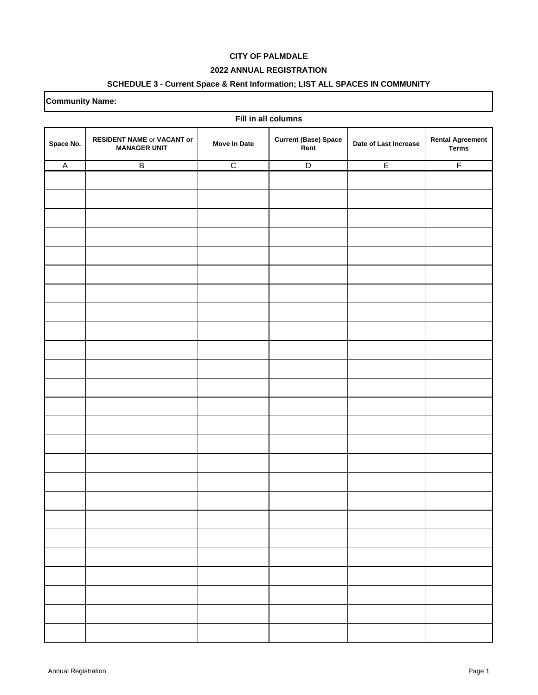### **2022 ANNUAL REGISTRATION**

## **SCHEDULE 3 - Current Space & Rent Information; LIST ALL SPACES IN COMMUNITY**

| Fill in all columns |                                                   |                     |                                     |                       |                                         |  |
|---------------------|---------------------------------------------------|---------------------|-------------------------------------|-----------------------|-----------------------------------------|--|
| Space No.           | RESIDENT NAME or VACANT or<br><b>MANAGER UNIT</b> | <b>Move In Date</b> | <b>Current (Base) Space</b><br>Rent | Date of Last Increase | <b>Rental Agreement</b><br><b>Terms</b> |  |
| $\overline{A}$      | $\overline{B}$                                    | $\overline{C}$      | $\overline{D}$                      | E                     | $\overline{F}$                          |  |
|                     |                                                   |                     |                                     |                       |                                         |  |
|                     |                                                   |                     |                                     |                       |                                         |  |
|                     |                                                   |                     |                                     |                       |                                         |  |
|                     |                                                   |                     |                                     |                       |                                         |  |
|                     |                                                   |                     |                                     |                       |                                         |  |
|                     |                                                   |                     |                                     |                       |                                         |  |
|                     |                                                   |                     |                                     |                       |                                         |  |
|                     |                                                   |                     |                                     |                       |                                         |  |
|                     |                                                   |                     |                                     |                       |                                         |  |
|                     |                                                   |                     |                                     |                       |                                         |  |
|                     |                                                   |                     |                                     |                       |                                         |  |
|                     |                                                   |                     |                                     |                       |                                         |  |
|                     |                                                   |                     |                                     |                       |                                         |  |
|                     |                                                   |                     |                                     |                       |                                         |  |
|                     |                                                   |                     |                                     |                       |                                         |  |
|                     |                                                   |                     |                                     |                       |                                         |  |
|                     |                                                   |                     |                                     |                       |                                         |  |
|                     |                                                   |                     |                                     |                       |                                         |  |
|                     |                                                   |                     |                                     |                       |                                         |  |
|                     |                                                   |                     |                                     |                       |                                         |  |
|                     |                                                   |                     |                                     |                       |                                         |  |
|                     |                                                   |                     |                                     |                       |                                         |  |
|                     |                                                   |                     |                                     |                       |                                         |  |
|                     |                                                   |                     |                                     |                       |                                         |  |
|                     |                                                   |                     |                                     |                       |                                         |  |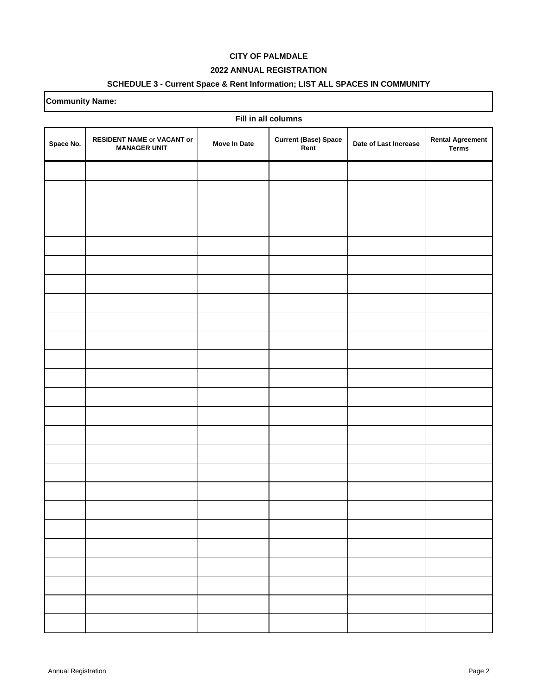### **2022 ANNUAL REGISTRATION**

### **SCHEDULE 3 - Current Space & Rent Information; LIST ALL SPACES IN COMMUNITY**

| Fill in all columns |                                                   |                     |                                     |                       |                                         |  |
|---------------------|---------------------------------------------------|---------------------|-------------------------------------|-----------------------|-----------------------------------------|--|
| Space No.           | RESIDENT NAME or VACANT or<br><b>MANAGER UNIT</b> | <b>Move In Date</b> | <b>Current (Base) Space</b><br>Rent | Date of Last Increase | <b>Rental Agreement</b><br><b>Terms</b> |  |
|                     |                                                   |                     |                                     |                       |                                         |  |
|                     |                                                   |                     |                                     |                       |                                         |  |
|                     |                                                   |                     |                                     |                       |                                         |  |
|                     |                                                   |                     |                                     |                       |                                         |  |
|                     |                                                   |                     |                                     |                       |                                         |  |
|                     |                                                   |                     |                                     |                       |                                         |  |
|                     |                                                   |                     |                                     |                       |                                         |  |
|                     |                                                   |                     |                                     |                       |                                         |  |
|                     |                                                   |                     |                                     |                       |                                         |  |
|                     |                                                   |                     |                                     |                       |                                         |  |
|                     |                                                   |                     |                                     |                       |                                         |  |
|                     |                                                   |                     |                                     |                       |                                         |  |
|                     |                                                   |                     |                                     |                       |                                         |  |
|                     |                                                   |                     |                                     |                       |                                         |  |
|                     |                                                   |                     |                                     |                       |                                         |  |
|                     |                                                   |                     |                                     |                       |                                         |  |
|                     |                                                   |                     |                                     |                       |                                         |  |
|                     |                                                   |                     |                                     |                       |                                         |  |
|                     |                                                   |                     |                                     |                       |                                         |  |
|                     |                                                   |                     |                                     |                       |                                         |  |
|                     |                                                   |                     |                                     |                       |                                         |  |
|                     |                                                   |                     |                                     |                       |                                         |  |
|                     |                                                   |                     |                                     |                       |                                         |  |
|                     |                                                   |                     |                                     |                       |                                         |  |
|                     |                                                   |                     |                                     |                       |                                         |  |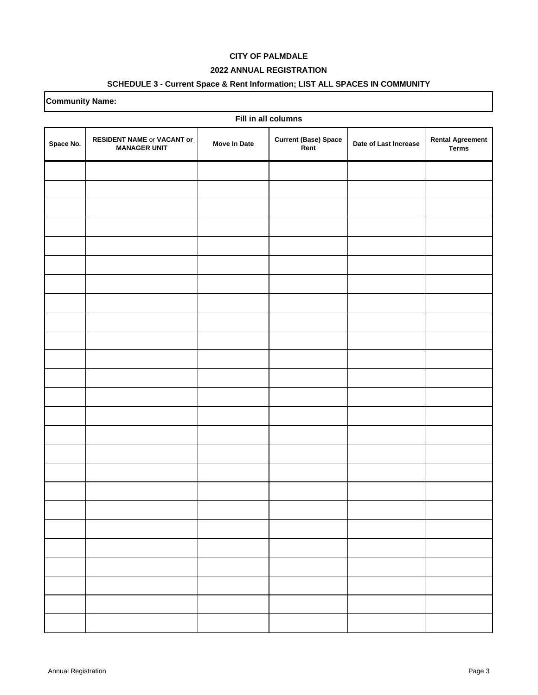### **2022 ANNUAL REGISTRATION**

### **SCHEDULE 3 - Current Space & Rent Information; LIST ALL SPACES IN COMMUNITY**

| Fill in all columns |                                                   |                     |                                     |                       |                                         |  |
|---------------------|---------------------------------------------------|---------------------|-------------------------------------|-----------------------|-----------------------------------------|--|
| Space No.           | RESIDENT NAME or VACANT or<br><b>MANAGER UNIT</b> | <b>Move In Date</b> | <b>Current (Base) Space</b><br>Rent | Date of Last Increase | <b>Rental Agreement</b><br><b>Terms</b> |  |
|                     |                                                   |                     |                                     |                       |                                         |  |
|                     |                                                   |                     |                                     |                       |                                         |  |
|                     |                                                   |                     |                                     |                       |                                         |  |
|                     |                                                   |                     |                                     |                       |                                         |  |
|                     |                                                   |                     |                                     |                       |                                         |  |
|                     |                                                   |                     |                                     |                       |                                         |  |
|                     |                                                   |                     |                                     |                       |                                         |  |
|                     |                                                   |                     |                                     |                       |                                         |  |
|                     |                                                   |                     |                                     |                       |                                         |  |
|                     |                                                   |                     |                                     |                       |                                         |  |
|                     |                                                   |                     |                                     |                       |                                         |  |
|                     |                                                   |                     |                                     |                       |                                         |  |
|                     |                                                   |                     |                                     |                       |                                         |  |
|                     |                                                   |                     |                                     |                       |                                         |  |
|                     |                                                   |                     |                                     |                       |                                         |  |
|                     |                                                   |                     |                                     |                       |                                         |  |
|                     |                                                   |                     |                                     |                       |                                         |  |
|                     |                                                   |                     |                                     |                       |                                         |  |
|                     |                                                   |                     |                                     |                       |                                         |  |
|                     |                                                   |                     |                                     |                       |                                         |  |
|                     |                                                   |                     |                                     |                       |                                         |  |
|                     |                                                   |                     |                                     |                       |                                         |  |
|                     |                                                   |                     |                                     |                       |                                         |  |
|                     |                                                   |                     |                                     |                       |                                         |  |
|                     |                                                   |                     |                                     |                       |                                         |  |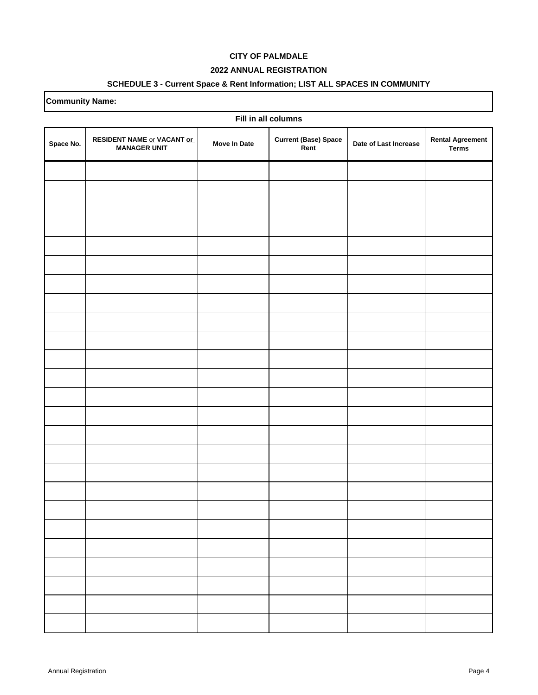### **2022 ANNUAL REGISTRATION**

### **SCHEDULE 3 - Current Space & Rent Information; LIST ALL SPACES IN COMMUNITY**

| Fill in all columns |                                                   |                     |                                     |                       |                                         |  |
|---------------------|---------------------------------------------------|---------------------|-------------------------------------|-----------------------|-----------------------------------------|--|
| Space No.           | RESIDENT NAME or VACANT or<br><b>MANAGER UNIT</b> | <b>Move In Date</b> | <b>Current (Base) Space</b><br>Rent | Date of Last Increase | <b>Rental Agreement</b><br><b>Terms</b> |  |
|                     |                                                   |                     |                                     |                       |                                         |  |
|                     |                                                   |                     |                                     |                       |                                         |  |
|                     |                                                   |                     |                                     |                       |                                         |  |
|                     |                                                   |                     |                                     |                       |                                         |  |
|                     |                                                   |                     |                                     |                       |                                         |  |
|                     |                                                   |                     |                                     |                       |                                         |  |
|                     |                                                   |                     |                                     |                       |                                         |  |
|                     |                                                   |                     |                                     |                       |                                         |  |
|                     |                                                   |                     |                                     |                       |                                         |  |
|                     |                                                   |                     |                                     |                       |                                         |  |
|                     |                                                   |                     |                                     |                       |                                         |  |
|                     |                                                   |                     |                                     |                       |                                         |  |
|                     |                                                   |                     |                                     |                       |                                         |  |
|                     |                                                   |                     |                                     |                       |                                         |  |
|                     |                                                   |                     |                                     |                       |                                         |  |
|                     |                                                   |                     |                                     |                       |                                         |  |
|                     |                                                   |                     |                                     |                       |                                         |  |
|                     |                                                   |                     |                                     |                       |                                         |  |
|                     |                                                   |                     |                                     |                       |                                         |  |
|                     |                                                   |                     |                                     |                       |                                         |  |
|                     |                                                   |                     |                                     |                       |                                         |  |
|                     |                                                   |                     |                                     |                       |                                         |  |
|                     |                                                   |                     |                                     |                       |                                         |  |
|                     |                                                   |                     |                                     |                       |                                         |  |
|                     |                                                   |                     |                                     |                       |                                         |  |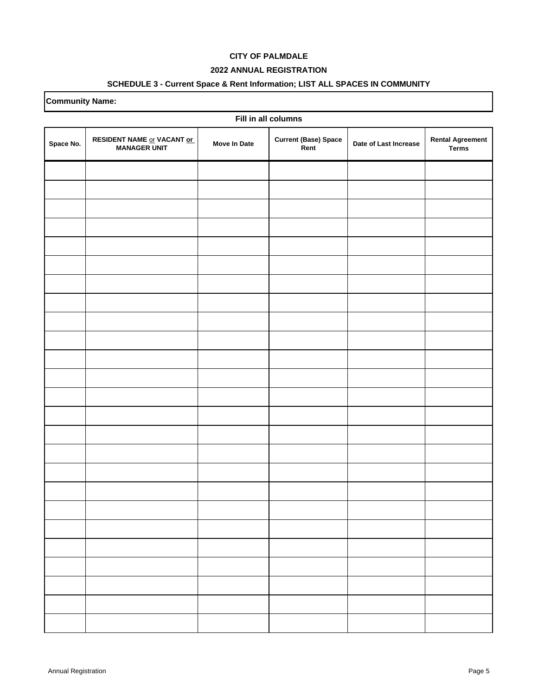### **2022 ANNUAL REGISTRATION**

### **SCHEDULE 3 - Current Space & Rent Information; LIST ALL SPACES IN COMMUNITY**

| Fill in all columns |                                                   |                     |                                     |                       |                                         |  |
|---------------------|---------------------------------------------------|---------------------|-------------------------------------|-----------------------|-----------------------------------------|--|
| Space No.           | RESIDENT NAME or VACANT or<br><b>MANAGER UNIT</b> | <b>Move In Date</b> | <b>Current (Base) Space</b><br>Rent | Date of Last Increase | <b>Rental Agreement</b><br><b>Terms</b> |  |
|                     |                                                   |                     |                                     |                       |                                         |  |
|                     |                                                   |                     |                                     |                       |                                         |  |
|                     |                                                   |                     |                                     |                       |                                         |  |
|                     |                                                   |                     |                                     |                       |                                         |  |
|                     |                                                   |                     |                                     |                       |                                         |  |
|                     |                                                   |                     |                                     |                       |                                         |  |
|                     |                                                   |                     |                                     |                       |                                         |  |
|                     |                                                   |                     |                                     |                       |                                         |  |
|                     |                                                   |                     |                                     |                       |                                         |  |
|                     |                                                   |                     |                                     |                       |                                         |  |
|                     |                                                   |                     |                                     |                       |                                         |  |
|                     |                                                   |                     |                                     |                       |                                         |  |
|                     |                                                   |                     |                                     |                       |                                         |  |
|                     |                                                   |                     |                                     |                       |                                         |  |
|                     |                                                   |                     |                                     |                       |                                         |  |
|                     |                                                   |                     |                                     |                       |                                         |  |
|                     |                                                   |                     |                                     |                       |                                         |  |
|                     |                                                   |                     |                                     |                       |                                         |  |
|                     |                                                   |                     |                                     |                       |                                         |  |
|                     |                                                   |                     |                                     |                       |                                         |  |
|                     |                                                   |                     |                                     |                       |                                         |  |
|                     |                                                   |                     |                                     |                       |                                         |  |
|                     |                                                   |                     |                                     |                       |                                         |  |
|                     |                                                   |                     |                                     |                       |                                         |  |
|                     |                                                   |                     |                                     |                       |                                         |  |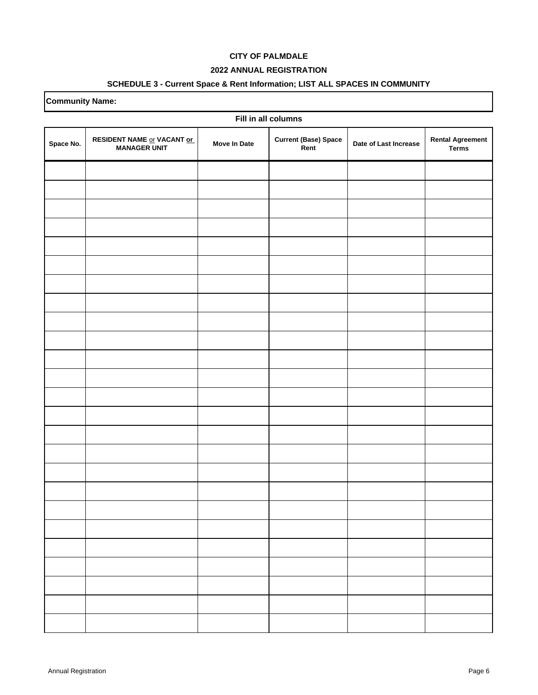### **2022 ANNUAL REGISTRATION**

### **SCHEDULE 3 - Current Space & Rent Information; LIST ALL SPACES IN COMMUNITY**

| Fill in all columns |                                                   |                     |                                     |                       |                                         |  |
|---------------------|---------------------------------------------------|---------------------|-------------------------------------|-----------------------|-----------------------------------------|--|
| Space No.           | RESIDENT NAME or VACANT or<br><b>MANAGER UNIT</b> | <b>Move In Date</b> | <b>Current (Base) Space</b><br>Rent | Date of Last Increase | <b>Rental Agreement</b><br><b>Terms</b> |  |
|                     |                                                   |                     |                                     |                       |                                         |  |
|                     |                                                   |                     |                                     |                       |                                         |  |
|                     |                                                   |                     |                                     |                       |                                         |  |
|                     |                                                   |                     |                                     |                       |                                         |  |
|                     |                                                   |                     |                                     |                       |                                         |  |
|                     |                                                   |                     |                                     |                       |                                         |  |
|                     |                                                   |                     |                                     |                       |                                         |  |
|                     |                                                   |                     |                                     |                       |                                         |  |
|                     |                                                   |                     |                                     |                       |                                         |  |
|                     |                                                   |                     |                                     |                       |                                         |  |
|                     |                                                   |                     |                                     |                       |                                         |  |
|                     |                                                   |                     |                                     |                       |                                         |  |
|                     |                                                   |                     |                                     |                       |                                         |  |
|                     |                                                   |                     |                                     |                       |                                         |  |
|                     |                                                   |                     |                                     |                       |                                         |  |
|                     |                                                   |                     |                                     |                       |                                         |  |
|                     |                                                   |                     |                                     |                       |                                         |  |
|                     |                                                   |                     |                                     |                       |                                         |  |
|                     |                                                   |                     |                                     |                       |                                         |  |
|                     |                                                   |                     |                                     |                       |                                         |  |
|                     |                                                   |                     |                                     |                       |                                         |  |
|                     |                                                   |                     |                                     |                       |                                         |  |
|                     |                                                   |                     |                                     |                       |                                         |  |
|                     |                                                   |                     |                                     |                       |                                         |  |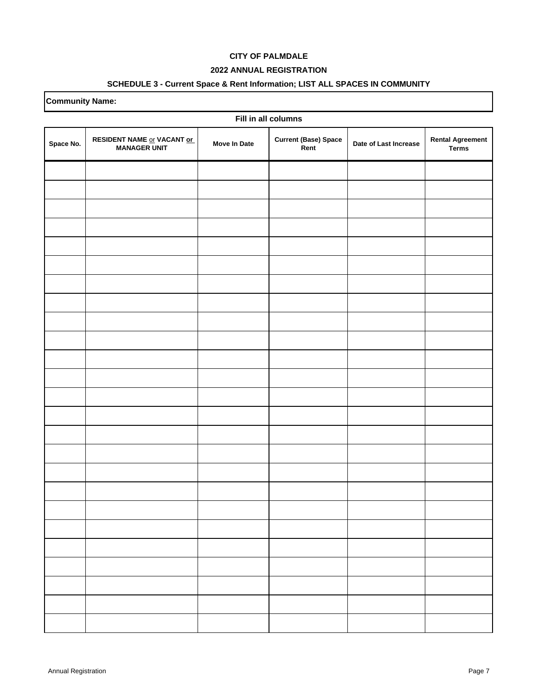### **2022 ANNUAL REGISTRATION**

# **SCHEDULE 3 - Current Space & Rent Information; LIST ALL SPACES IN COMMUNITY**

| Fill in all columns |                                                   |                     |                                     |                       |                                         |  |
|---------------------|---------------------------------------------------|---------------------|-------------------------------------|-----------------------|-----------------------------------------|--|
| Space No.           | RESIDENT NAME or VACANT or<br><b>MANAGER UNIT</b> | <b>Move In Date</b> | <b>Current (Base) Space</b><br>Rent | Date of Last Increase | <b>Rental Agreement</b><br><b>Terms</b> |  |
|                     |                                                   |                     |                                     |                       |                                         |  |
|                     |                                                   |                     |                                     |                       |                                         |  |
|                     |                                                   |                     |                                     |                       |                                         |  |
|                     |                                                   |                     |                                     |                       |                                         |  |
|                     |                                                   |                     |                                     |                       |                                         |  |
|                     |                                                   |                     |                                     |                       |                                         |  |
|                     |                                                   |                     |                                     |                       |                                         |  |
|                     |                                                   |                     |                                     |                       |                                         |  |
|                     |                                                   |                     |                                     |                       |                                         |  |
|                     |                                                   |                     |                                     |                       |                                         |  |
|                     |                                                   |                     |                                     |                       |                                         |  |
|                     |                                                   |                     |                                     |                       |                                         |  |
|                     |                                                   |                     |                                     |                       |                                         |  |
|                     |                                                   |                     |                                     |                       |                                         |  |
|                     |                                                   |                     |                                     |                       |                                         |  |
|                     |                                                   |                     |                                     |                       |                                         |  |
|                     |                                                   |                     |                                     |                       |                                         |  |
|                     |                                                   |                     |                                     |                       |                                         |  |
|                     |                                                   |                     |                                     |                       |                                         |  |
|                     |                                                   |                     |                                     |                       |                                         |  |
|                     |                                                   |                     |                                     |                       |                                         |  |
|                     |                                                   |                     |                                     |                       |                                         |  |
|                     |                                                   |                     |                                     |                       |                                         |  |
|                     |                                                   |                     |                                     |                       |                                         |  |
|                     |                                                   |                     |                                     |                       |                                         |  |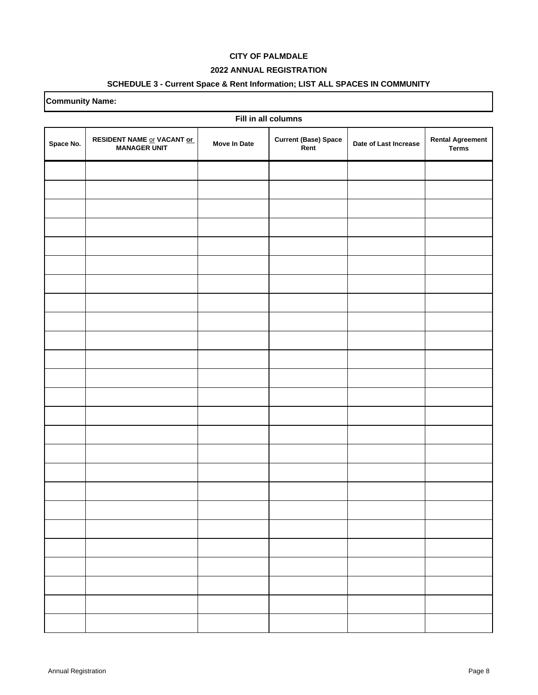### **2022 ANNUAL REGISTRATION**

### **SCHEDULE 3 - Current Space & Rent Information; LIST ALL SPACES IN COMMUNITY**

| Fill in all columns |                                                   |                     |                                     |                       |                                         |  |
|---------------------|---------------------------------------------------|---------------------|-------------------------------------|-----------------------|-----------------------------------------|--|
| Space No.           | RESIDENT NAME or VACANT or<br><b>MANAGER UNIT</b> | <b>Move In Date</b> | <b>Current (Base) Space</b><br>Rent | Date of Last Increase | <b>Rental Agreement</b><br><b>Terms</b> |  |
|                     |                                                   |                     |                                     |                       |                                         |  |
|                     |                                                   |                     |                                     |                       |                                         |  |
|                     |                                                   |                     |                                     |                       |                                         |  |
|                     |                                                   |                     |                                     |                       |                                         |  |
|                     |                                                   |                     |                                     |                       |                                         |  |
|                     |                                                   |                     |                                     |                       |                                         |  |
|                     |                                                   |                     |                                     |                       |                                         |  |
|                     |                                                   |                     |                                     |                       |                                         |  |
|                     |                                                   |                     |                                     |                       |                                         |  |
|                     |                                                   |                     |                                     |                       |                                         |  |
|                     |                                                   |                     |                                     |                       |                                         |  |
|                     |                                                   |                     |                                     |                       |                                         |  |
|                     |                                                   |                     |                                     |                       |                                         |  |
|                     |                                                   |                     |                                     |                       |                                         |  |
|                     |                                                   |                     |                                     |                       |                                         |  |
|                     |                                                   |                     |                                     |                       |                                         |  |
|                     |                                                   |                     |                                     |                       |                                         |  |
|                     |                                                   |                     |                                     |                       |                                         |  |
|                     |                                                   |                     |                                     |                       |                                         |  |
|                     |                                                   |                     |                                     |                       |                                         |  |
|                     |                                                   |                     |                                     |                       |                                         |  |
|                     |                                                   |                     |                                     |                       |                                         |  |
|                     |                                                   |                     |                                     |                       |                                         |  |
|                     |                                                   |                     |                                     |                       |                                         |  |